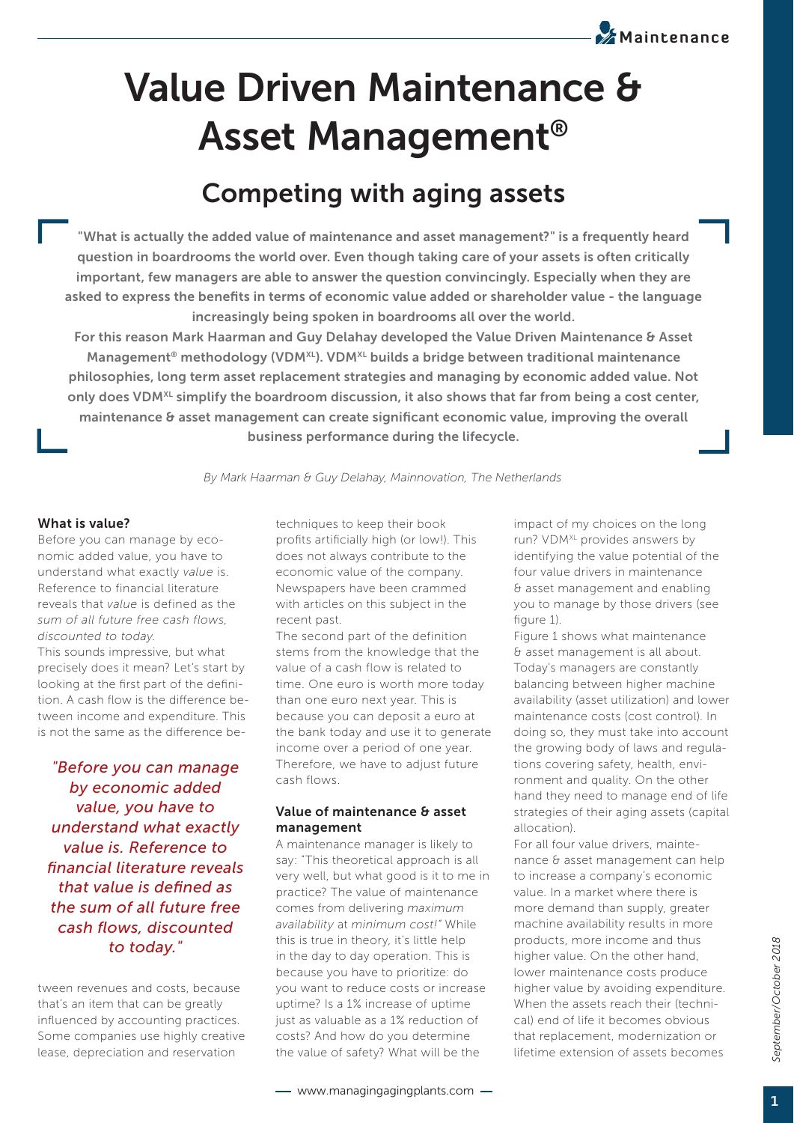# **Value Driven Maintenance & Asset Management®**

# **Competing with aging assets**

**"What is actually the added value of maintenance and asset management?" is a frequently heard question in boardrooms the world over. Even though taking care of your assets is often critically important, few managers are able to answer the question convincingly. Especially when they are**  asked to express the benefits in terms of economic value added or shareholder value - the language **increasingly being spoken in boardrooms all over the world.**

**For this reason Mark Haarman and Guy Delahay developed the Value Driven Maintenance & Asset**  Management<sup>®</sup> methodology (VDM<sup>XL</sup>). VDM<sup>XL</sup> builds a bridge between traditional maintenance **philosophies, long term asset replacement strategies and managing by economic added value. Not only does VDMXL simplify the boardroom discussion, it also shows that far from being a cost center,**  maintenance & asset management can create significant economic value, improving the overall **business performance during the lifecycle.** 

*By Mark Haarman & Guy Delahay, Mainnovation, The Netherlands*

#### **What is value?**

Before you can manage by economic added value, you have to understand what exactly *value* is. Reference to financial literature reveals that *value* is defined as the *sum of all future free cash flows, discounted to today*.

This sounds impressive, but what precisely does it mean? Let's start by looking at the first part of the definition. A cash flow is the difference between income and expenditure. This is not the same as the difference be-

*"Before you can manage by economic added value, you have to understand what exactly value is. Reference to fi nancial literature reveals that value is defi ned as the sum of all future free cash fl ows, discounted to today."*

tween revenues and costs, because that's an item that can be greatly influenced by accounting practices. Some companies use highly creative lease, depreciation and reservation

techniques to keep their book profits artificially high (or low!). This does not always contribute to the economic value of the company. Newspapers have been crammed with articles on this subject in the recent past.

The second part of the definition stems from the knowledge that the value of a cash flow is related to time. One euro is worth more today than one euro next year. This is because you can deposit a euro at the bank today and use it to generate income over a period of one year. Therefore, we have to adjust future cash flows.

#### **Value of maintenance & asset management**

A maintenance manager is likely to say: "This theoretical approach is all very well, but what good is it to me in practice? The value of maintenance comes from delivering *maximum availability* at *minimum cost!"* While this is true in theory, it's little help in the day to day operation. This is because you have to prioritize: do you want to reduce costs or increase uptime? Is a 1% increase of uptime just as valuable as a 1% reduction of costs? And how do you determine the value of safety? What will be the

impact of my choices on the long run? VDM<sup>XL</sup> provides answers by identifying the value potential of the four value drivers in maintenance & asset management and enabling you to manage by those drivers (see figure 1).

**Maintenance**

Figure 1 shows what maintenance & asset management is all about. Today's managers are constantly balancing between higher machine availability (asset utilization) and lower maintenance costs (cost control). In doing so, they must take into account the growing body of laws and regulations covering safety, health, environment and quality. On the other hand they need to manage end of life strategies of their aging assets (capital allocation).

For all four value drivers, maintenance & asset management can help to increase a company's economic value. In a market where there is more demand than supply, greater machine availability results in more products, more income and thus higher value. On the other hand, lower maintenance costs produce higher value by avoiding expenditure. When the assets reach their (technical) end of life it becomes obvious that replacement, modernization or lifetime extension of assets becomes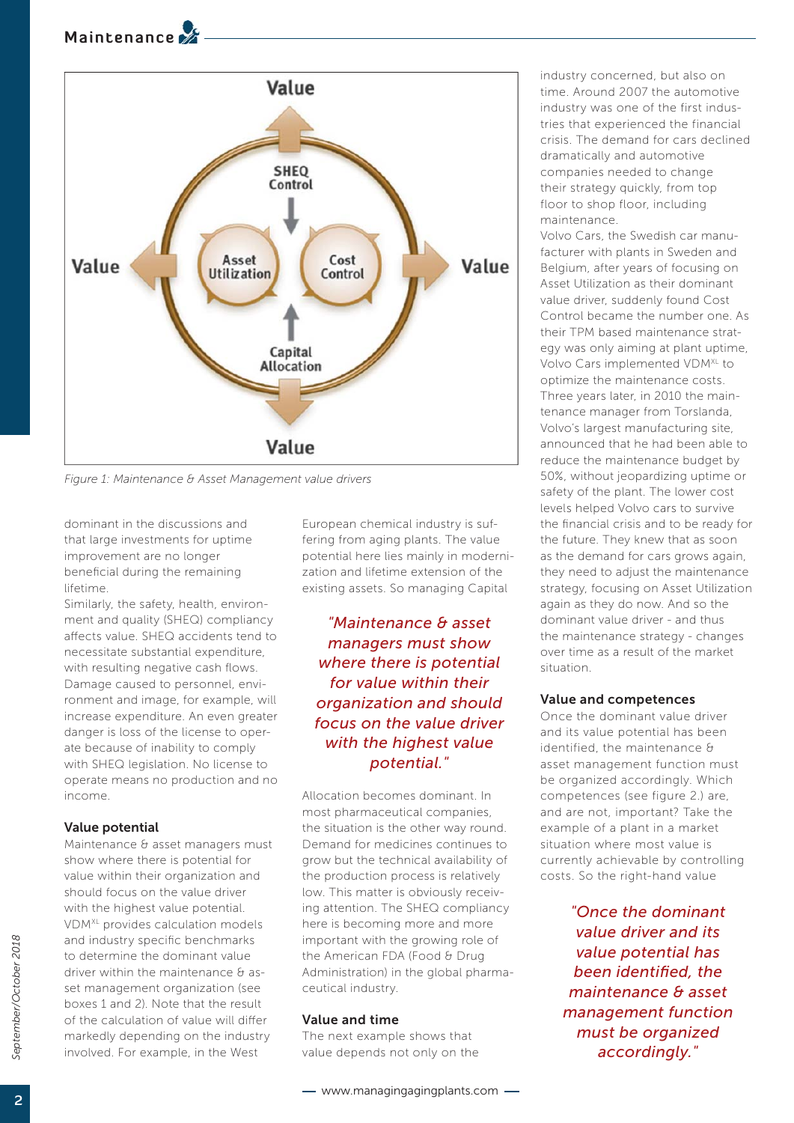# **Maintenance**



*Figure 1: Maintenance & Asset Management value drivers*

dominant in the discussions and that large investments for uptime improvement are no longer beneficial during the remaining lifetime.

Similarly, the safety, health, environment and quality (SHEQ) compliancy affects value. SHEQ accidents tend to necessitate substantial expenditure, with resulting negative cash flows. Damage caused to personnel, environment and image, for example, will increase expenditure. An even greater danger is loss of the license to operate because of inability to comply with SHEQ legislation. No license to operate means no production and no income.

#### **Value potential**

Maintenance & asset managers must show where there is potential for value within their organization and should focus on the value driver with the highest value potential. VDMXL provides calculation models and industry specific benchmarks to determine the dominant value driver within the maintenance & asset management organization (see boxes 1 and 2). Note that the result of the calculation of value will differ markedly depending on the industry involved. For example, in the West

European chemical industry is suffering from aging plants. The value potential here lies mainly in modernization and lifetime extension of the existing assets. So managing Capital

*"Maintenance & asset managers must show where there is potential for value within their organization and should focus on the value driver with the highest value potential."*

Allocation becomes dominant. In most pharmaceutical companies, the situation is the other way round. Demand for medicines continues to grow but the technical availability of the production process is relatively low. This matter is obviously receiving attention. The SHEQ compliancy here is becoming more and more important with the growing role of the American FDA (Food & Drug Administration) in the global pharmaceutical industry.

#### **Value and time**

The next example shows that value depends not only on the industry concerned, but also on time. Around 2007 the automotive industry was one of the first industries that experienced the financial crisis. The demand for cars declined dramatically and automotive companies needed to change their strategy quickly, from top floor to shop floor, including maintenance.

Volvo Cars, the Swedish car manufacturer with plants in Sweden and Belgium, after years of focusing on Asset Utilization as their dominant value driver, suddenly found Cost Control became the number one. As their TPM based maintenance strategy was only aiming at plant uptime, Volvo Cars implemented VDM<sup>XL</sup> to optimize the maintenance costs. Three years later, in 2010 the maintenance manager from Torslanda, Volvo's largest manufacturing site, announced that he had been able to reduce the maintenance budget by 50%, without jeopardizing uptime or safety of the plant. The lower cost levels helped Volvo cars to survive the financial crisis and to be ready for the future. They knew that as soon as the demand for cars grows again, they need to adjust the maintenance strategy, focusing on Asset Utilization again as they do now. And so the dominant value driver - and thus the maintenance strategy - changes over time as a result of the market situation.

#### **Value and competences**

Once the dominant value driver and its value potential has been identified, the maintenance & asset management function must be organized accordingly. Which competences (see figure 2.) are, and are not, important? Take the example of a plant in a market situation where most value is currently achievable by controlling costs. So the right-hand value

> *"Once the dominant value driver and its value potential has been identified, the maintenance & asset management function must be organized accordingly."*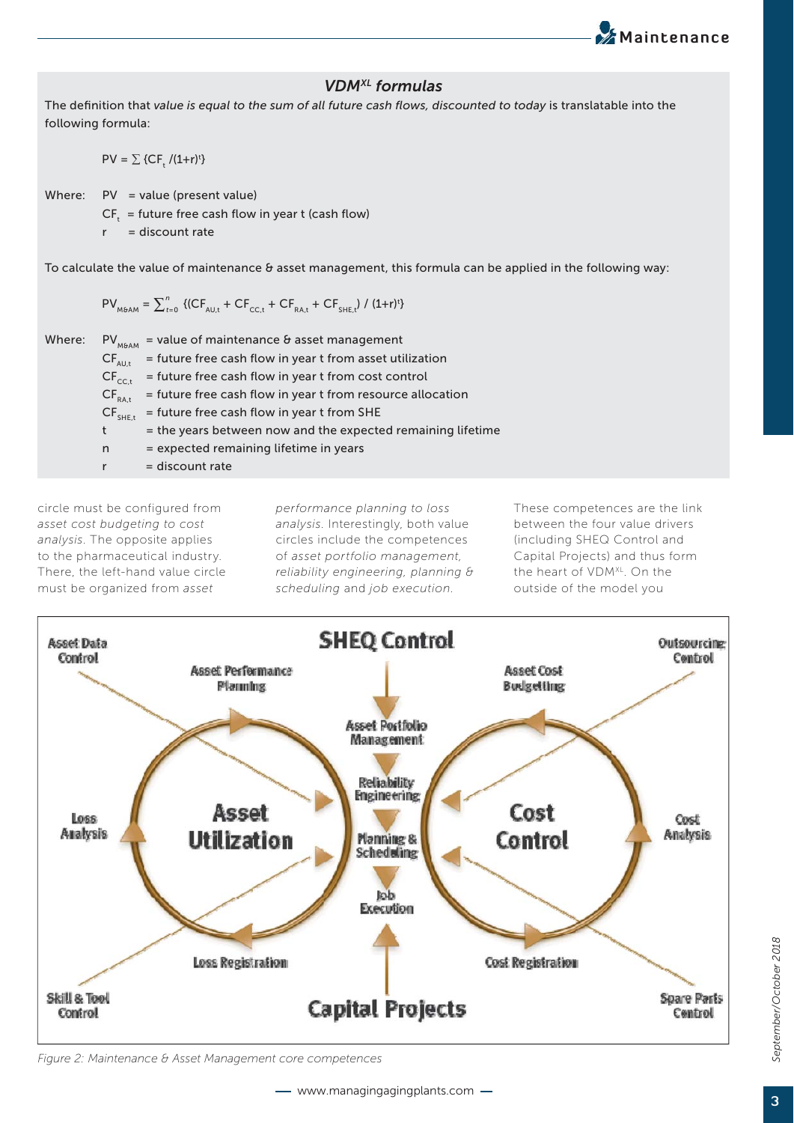### *VDMXL formulas*

The definition that value is equal to the sum of all future cash flows, discounted to today is translatable into the following formula:

 $PV = \sum \{CF_{t}/(1+r)^{t}\}$ 

Where:  $PV = value (present value)$ 

 $CF_t$  = future free cash flow in year t (cash flow)

 $r =$  discount rate

To calculate the value of maintenance & asset management, this formula can be applied in the following way:

 $PV_{M6AM} = \sum_{t=0}^{n} \left\{ (CF_{AU,t} + CF_{CC,t} + CF_{RA,t} + CF_{SHE,t}) / (1+r)^{t} \right\}$ 

| Where: |                   | $PV_{M\phi AM}$ = value of maintenance & asset management   |
|--------|-------------------|-------------------------------------------------------------|
|        | $CF_{AUL}$        | = future free cash flow in year t from asset utilization    |
|        | $CF_{\text{ccl}}$ | = future free cash flow in year t from cost control         |
|        | $CF_{RA,t}$       | = future free cash flow in year t from resource allocation  |
|        | $CF_{SHE,t}$      | = future free cash flow in year t from SHE                  |
|        | t                 | = the years between now and the expected remaining lifetime |
|        | n                 | = expected remaining lifetime in years                      |
|        |                   | $=$ discount rate                                           |

circle must be configured from *asset cost budgeting to cost analysis*. The opposite applies to the pharmaceutical industry. There, the left-hand value circle must be organized from *asset* 

*performance planning to loss analysis*. Interestingly, both value circles include the competences of *asset portfolio management, reliability engineering, planning & scheduling* and *job execution*.

These competences are the link between the four value drivers (including SHEQ Control and Capital Projects) and thus form the heart of VDM<sup>XL</sup>. On the outside of the model you

**Maintenance** 



*Figure 2: Maintenance & Asset Management core competences*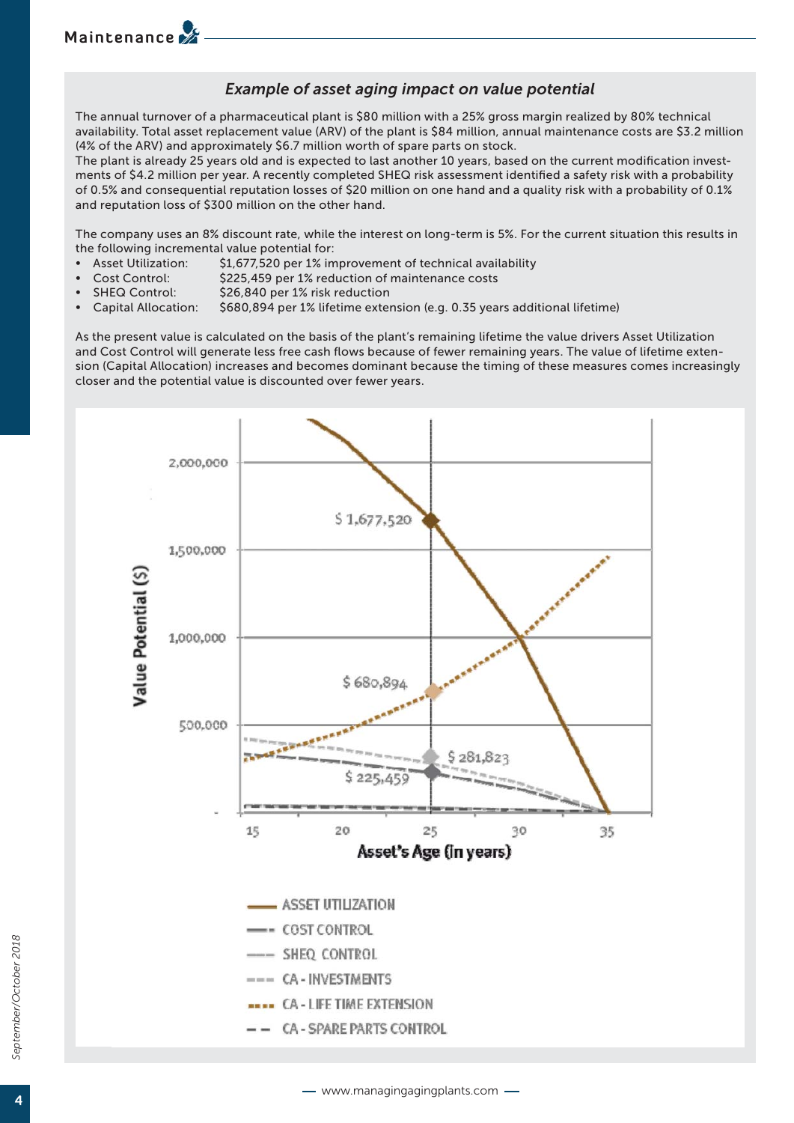## **Maintenance**

#### *Example of asset aging impact on value potential*

The annual turnover of a pharmaceutical plant is \$80 million with a 25% gross margin realized by 80% technical availability. Total asset replacement value (ARV) of the plant is \$84 million, annual maintenance costs are \$3.2 million (4% of the ARV) and approximately \$6.7 million worth of spare parts on stock.

The plant is already 25 years old and is expected to last another 10 years, based on the current modification investments of \$4.2 million per year. A recently completed SHEQ risk assessment identified a safety risk with a probability of 0.5% and consequential reputation losses of \$20 million on one hand and a quality risk with a probability of 0.1% and reputation loss of \$300 million on the other hand.

The company uses an 8% discount rate, while the interest on long-term is 5%. For the current situation this results in the following incremental value potential for:

- Asset Utilization: \$1,677,520 per 1% improvement of technical availability
- Cost Control: \$225,459 per 1% reduction of maintenance costs
- SHEQ Control: \$26,840 per 1% risk reduction
- Capital Allocation: \$680,894 per 1% lifetime extension (e.g. 0.35 years additional lifetime)

As the present value is calculated on the basis of the plant's remaining lifetime the value drivers Asset Utilization and Cost Control will generate less free cash flows because of fewer remaining years. The value of lifetime extension (Capital Allocation) increases and becomes dominant because the timing of these measures comes increasingly closer and the potential value is discounted over fewer years.